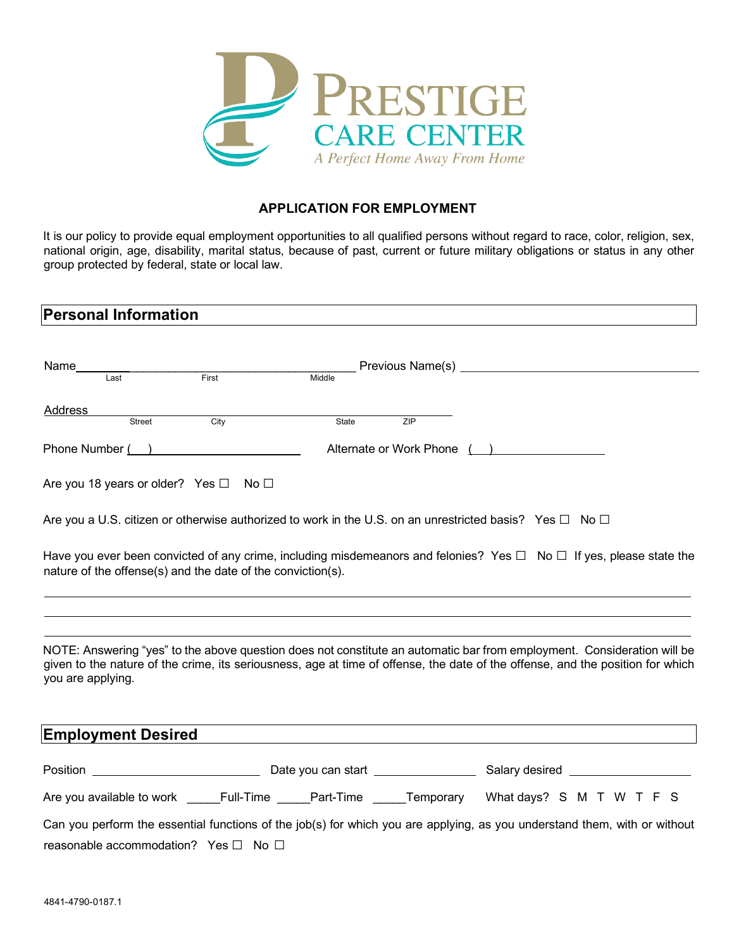

### **APPLICATION FOR EMPLOYMENT**

It is our policy to provide equal employment opportunities to all qualified persons without regard to race, color, religion, sex, national origin, age, disability, marital status, because of past, current or future military obligations or status in any other group protected by federal, state or local law.

| <b>Personal Information</b>                                 |                          |       |     |                                                                                                                                                                                                                                                           |  |
|-------------------------------------------------------------|--------------------------|-------|-----|-----------------------------------------------------------------------------------------------------------------------------------------------------------------------------------------------------------------------------------------------------------|--|
|                                                             |                          |       |     |                                                                                                                                                                                                                                                           |  |
|                                                             |                          |       |     |                                                                                                                                                                                                                                                           |  |
|                                                             |                          |       |     | Middle Previous Name(s)<br>Middle                                                                                                                                                                                                                         |  |
| Address                                                     |                          |       |     |                                                                                                                                                                                                                                                           |  |
| Street                                                      | $\overline{\text{City}}$ | State | ZIP |                                                                                                                                                                                                                                                           |  |
| Phone Number ( )                                            |                          |       |     | Alternate or Work Phone ()                                                                                                                                                                                                                                |  |
| Are you 18 years or older? Yes $\Box$ No $\Box$             |                          |       |     |                                                                                                                                                                                                                                                           |  |
|                                                             |                          |       |     | Are you a U.S. citizen or otherwise authorized to work in the U.S. on an unrestricted basis? Yes $\Box$ No $\Box$                                                                                                                                         |  |
| nature of the offense(s) and the date of the conviction(s). |                          |       |     | Have you ever been convicted of any crime, including misdemeanors and felonies? Yes $\Box$ No $\Box$ If yes, please state the                                                                                                                             |  |
|                                                             |                          |       |     |                                                                                                                                                                                                                                                           |  |
| you are applying.                                           |                          |       |     | NOTE: Answering "yes" to the above question does not constitute an automatic bar from employment. Consideration will be<br>given to the nature of the crime, its seriousness, age at time of offense, the date of the offense, and the position for which |  |
| <b>Employment Desired</b>                                   |                          |       |     |                                                                                                                                                                                                                                                           |  |
|                                                             |                          |       |     |                                                                                                                                                                                                                                                           |  |
|                                                             |                          |       |     | Are you available to work _____Full-Time _____Part-Time _____Temporary What days? S M T W T F S                                                                                                                                                           |  |
|                                                             |                          |       |     | Can you perform the essential functions of the job(s) for which you are applying, as you understand them, with or without                                                                                                                                 |  |
| reasonable accommodation? Yes $\Box$ No $\Box$              |                          |       |     |                                                                                                                                                                                                                                                           |  |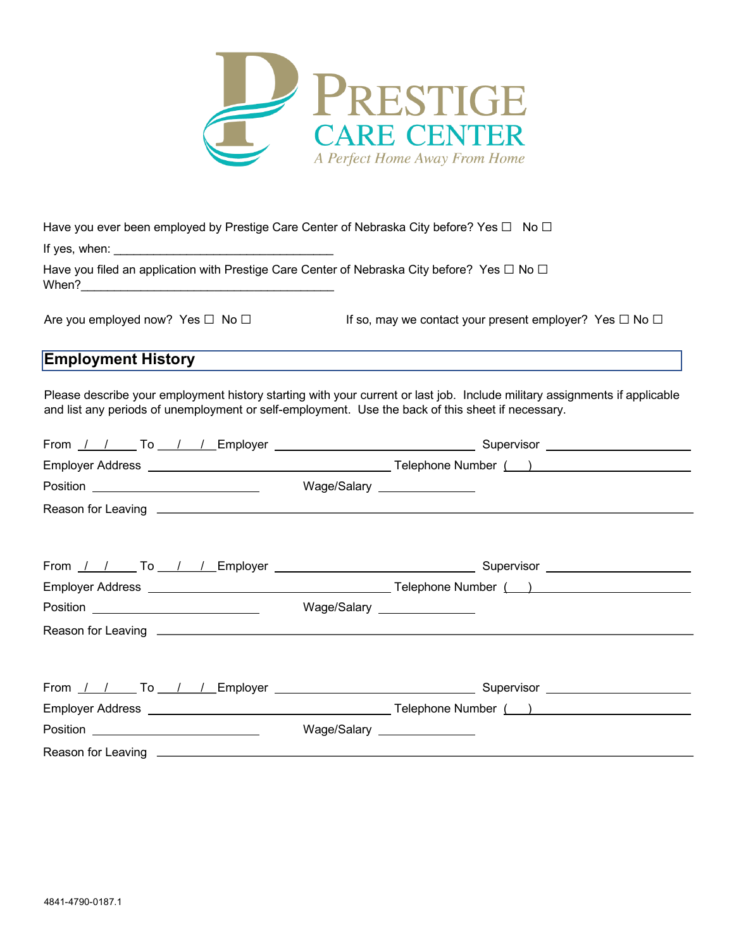

| Have you ever been employed by Prestige Care Center of Nebraska City before? Yes $\Box$ No $\Box$ |  |  |  |
|---------------------------------------------------------------------------------------------------|--|--|--|
|                                                                                                   |  |  |  |

If yes, when:

Have you filed an application with Prestige Care Center of Nebraska City before? Yes □ No □ When?  $\blacksquare$ 

Are you employed now? Yes □ No □ If so, may we contact your present employer? Yes □ No □

# **Employment History**

Please describe your employment history starting with your current or last job. Include military assignments if applicable and list any periods of unemployment or self-employment. Use the back of this sheet if necessary.

| Position ____________________________ | Wage/Salary ________________ |
|---------------------------------------|------------------------------|
|                                       |                              |
|                                       |                              |
|                                       |                              |
|                                       | Wage/Salary ________________ |
|                                       |                              |
|                                       |                              |
|                                       |                              |
|                                       | Wage/Salary ________________ |
|                                       |                              |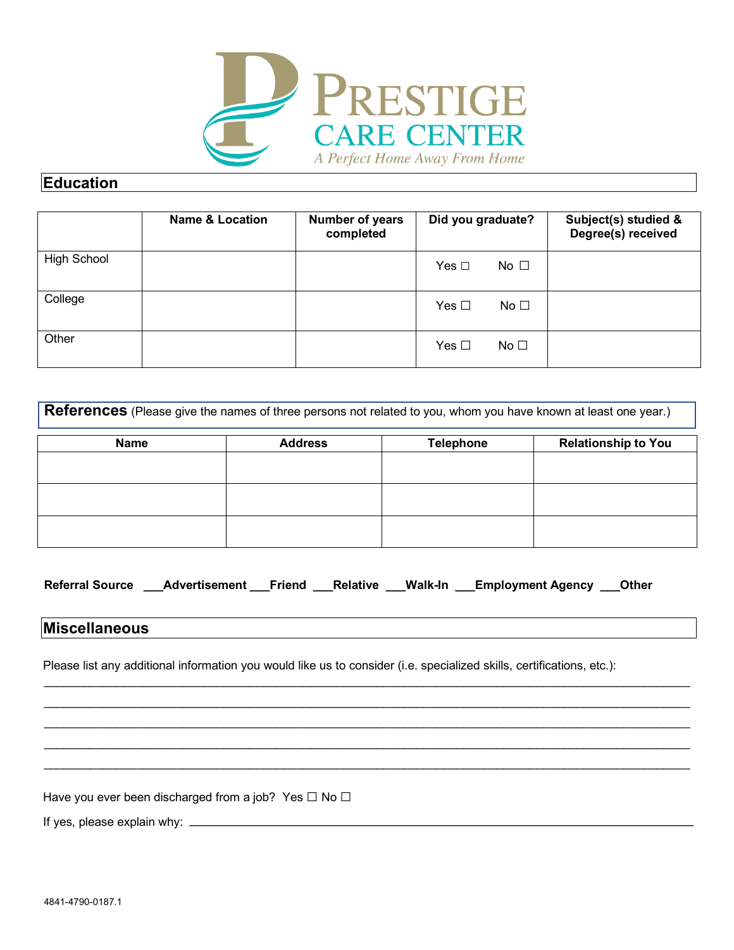

## **Education**

|                    | <b>Name &amp; Location</b> | Number of years<br>completed | Did you graduate?             | Subject(s) studied &<br>Degree(s) received |
|--------------------|----------------------------|------------------------------|-------------------------------|--------------------------------------------|
| <b>High School</b> |                            |                              | No $\square$<br>Yes $\Box$    |                                            |
| College            |                            |                              | Yes $\Box$<br>No <sub>1</sub> |                                            |
| Other              |                            |                              | Yes $\Box$<br>No $\square$    |                                            |

| References (Please give the names of three persons not related to you, whom you have known at least one year.) |                |                  |                            |  |  |
|----------------------------------------------------------------------------------------------------------------|----------------|------------------|----------------------------|--|--|
| <b>Name</b>                                                                                                    | <b>Address</b> | <b>Telephone</b> | <b>Relationship to You</b> |  |  |
|                                                                                                                |                |                  |                            |  |  |
|                                                                                                                |                |                  |                            |  |  |
|                                                                                                                |                |                  |                            |  |  |

| <b>Referral Source</b> | Advertisement Friend Relative Walk-In |  |  |  | <b>Employment Agency</b> ___Other_ |  |
|------------------------|---------------------------------------|--|--|--|------------------------------------|--|
|------------------------|---------------------------------------|--|--|--|------------------------------------|--|

 $\_$  , and the contribution of the contribution of the contribution of the contribution of the contribution of  $\mathcal{L}_\text{max}$  $\_$  , and the contribution of the contribution of the contribution of the contribution of the contribution of  $\mathcal{L}_\text{max}$  $\_$  , and the state of the state of the state of the state of the state of the state of the state of the state of the state of the state of the state of the state of the state of the state of the state of the state of the  $\_$  , and the state of the state of the state of the state of the state of the state of the state of the state of the state of the state of the state of the state of the state of the state of the state of the state of the \_\_\_\_\_\_\_\_\_\_\_\_\_\_\_\_\_\_\_\_\_\_\_\_\_\_\_\_\_\_\_\_\_\_\_\_\_\_\_\_\_\_\_\_\_\_\_\_\_\_\_\_\_\_\_\_\_\_\_\_\_\_\_\_\_\_\_\_\_\_\_\_\_\_\_\_\_\_\_\_\_\_\_\_\_\_\_\_\_\_\_\_\_\_\_\_\_

## **Miscellaneous**

Please list any additional information you would like us to consider (i.e. specialized skills, certifications, etc.):

Have you ever been discharged from a job? Yes  $\Box$  No  $\Box$ 

If yes, please explain why: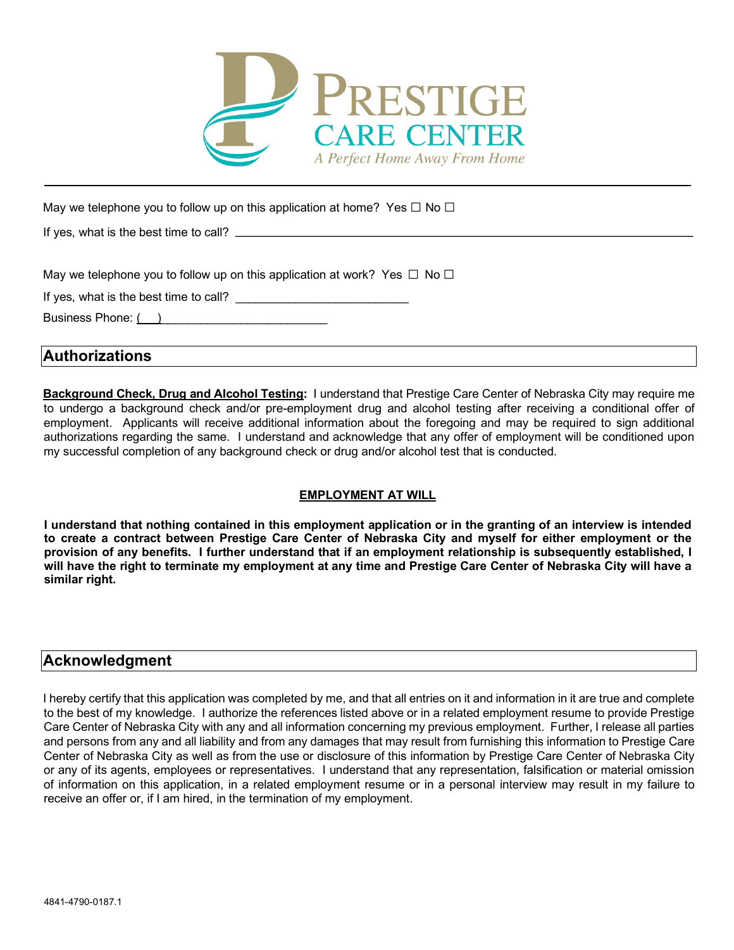

May we telephone you to follow up on this application at home? Yes  $\Box$  No  $\Box$ 

If yes, what is the best time to call?

May we telephone you to follow up on this application at work? Yes  $\Box$  No  $\Box$ 

If yes, what is the best time to call?

Business Phone: ()

**Authorizations** 

**Background Check, Drug and Alcohol Testing:** I understand that Prestige Care Center of Nebraska City may require me to undergo a background check and/or pre-employment drug and alcohol testing after receiving a conditional offer of employment. Applicants will receive additional information about the foregoing and may be required to sign additional authorizations regarding the same. I understand and acknowledge that any offer of employment will be conditioned upon my successful completion of any background check or drug and/or alcohol test that is conducted.

### **EMPLOYMENT AT WILL**

**I understand that nothing contained in this employment application or in the granting of an interview is intended to create a contract between Prestige Care Center of Nebraska City and myself for either employment or the provision of any benefits. I further understand that if an employment relationship is subsequently established, I will have the right to terminate my employment at any time and Prestige Care Center of Nebraska City will have a similar right.** 

### **Acknowledgment**

I hereby certify that this application was completed by me, and that all entries on it and information in it are true and complete to the best of my knowledge. I authorize the references listed above or in a related employment resume to provide Prestige Care Center of Nebraska City with any and all information concerning my previous employment. Further, I release all parties and persons from any and all liability and from any damages that may result from furnishing this information to Prestige Care Center of Nebraska City as well as from the use or disclosure of this information by Prestige Care Center of Nebraska City or any of its agents, employees or representatives. I understand that any representation, falsification or material omission of information on this application, in a related employment resume or in a personal interview may result in my failure to receive an offer or, if I am hired, in the termination of my employment.